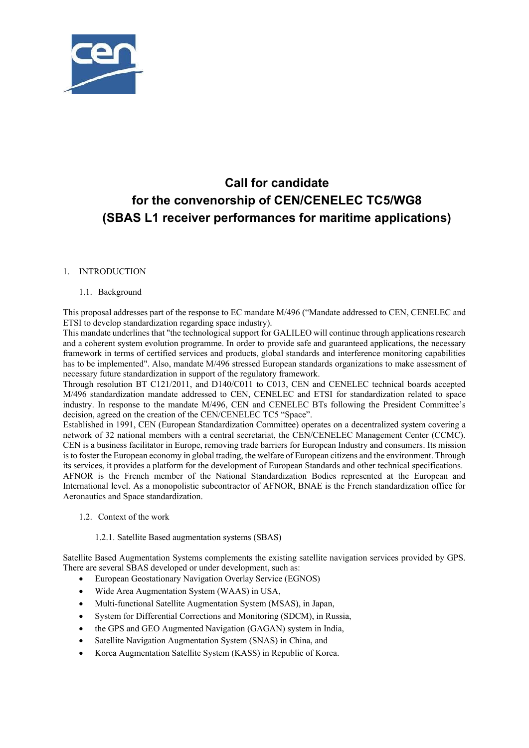

# **Call for candidate for the convenorship of CEN/CENELEC TC5/WG8 (SBAS L1 receiver performances for maritime applications)**

# 1. INTRODUCTION

### 1.1. Background

This proposal addresses part of the responsistotoclaciding the the 496 ("Mandate addressed to CEN, CENELEC and ETSI to develop standardization regar**diony space hip lost CEN**/CENELEC

This mandate underlines that "the techn $\mathbb{G}\otimes\mathbb{W}\otimes\mathbb{G}$  upport for GALILEO will continue through applications research and a coherent system evolution programme. In order to provide safe and guaranteed applications, the necessary framework in terms of certified services and products, global standards and interference monitoring capabilities has to be implemented". Also, mandate M/496 stressed European standards organizations to make assessment of necessary future standardization in support of the regulatory framework.

Through resolution BT C121/2011, and D140/C011 to C013, CEN and CENELEC technical boards accepted M/496 standardization mandate addressed to CEN, CENELEC and ETSI for standardization related to space industry. In response to the mandate M/496, CEN and CENELEC BTs following the President Committee's decision, agreed on the creation of the CEN/CENELEC TC5 "Space".

Established in 1991, CEN (European Standardization Committee) operates on a decentralized system covering a network of 32 national members with a central secretariat, the CEN/CENELEC Management Center (CCMC). CEN is a business facilitator in Europe, removing trade barriers for European Industry and consumers. Its mission is to foster the European economy in global trading, the welfare of European citizens and the environment. Through its services, it provides a platform for the development of European Standards and other technical specifications. AFNOR is the French member of the National Standardization Bodies represented at the European and International level. As a monopolistic subcontractor of AFNOR, BNAE is the French standardization office for Aeronautics and Space standardization.

1.2. Context of the work

### 1.2.1. Satellite Based augmentation systems (SBAS)

Satellite Based Augmentation Systems complements the existing satellite navigation services provided by GPS. There are several SBAS developed or under development, such as:

- European Geostationary Navigation Overlay Service (EGNOS)
- Wide Area Augmentation System (WAAS) in USA,
- Multi-functional Satellite Augmentation System (MSAS), in Japan,
- System for Differential Corrections and Monitoring (SDCM), in Russia,
- the GPS and GEO Augmented Navigation (GAGAN) system in India,
- Satellite Navigation Augmentation System (SNAS) in China, and
- Korea Augmentation Satellite System (KASS) in Republic of Korea.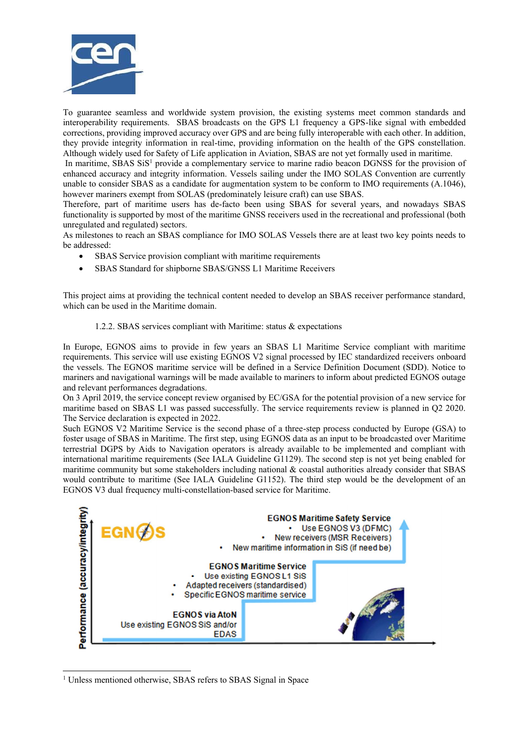

To guarantee seamless and worldwide system provision, the existing systems meet common standards and interoperability requirements. SBAS broadcasts on the GPS L1 frequency a GPS-like signal with embedded corrections, providing improved accuracy over GPS and are being fully interoperable with each other. In addition, they provide integrity information in real-time, providing information on the health of the GPS constellation. Although widely used for Safety of Life application in Aviation, SBAS are not yet formally used in maritime.

In maritime, SBAS SiS<sup>1</sup> provide a complementary service to marine radio beacon DGNSS for the provision of enhanced accuracy and integrity information. Vessels sailing under the IMO SOLAS Convention are currently unable to consider SBAS as a candidate for augmentation system to be conform to IMO requirements (A.1046), however mariners exempt from SOLAS (predominately leisure craft) can use SBAS.

Therefore, part of maritime users has de-facto been using SBAS for several years, and nowadays SBAS functionality is supported by most of the maritime GNSS receivers used in the recreational and professional (both unregulated and regulated) sectors.

As milestones to reach an SBAS compliance for IMO SOLAS Vessels there are at least two key points needs to be addressed:

- SBAS Service provision compliant with maritime requirements
- SBAS Standard for shipborne SBAS/GNSS L1 Maritime Receivers

This project aims at providing the technical content needed to develop an SBAS receiver performance standard, which can be used in the Maritime domain.

### 1.2.2. SBAS services compliant with Maritime: status & expectations

In Europe, EGNOS aims to provide in few years an SBAS L1 Maritime Service compliant with maritime requirements. This service will use existing EGNOS V2 signal processed by IEC standardized receivers onboard the vessels. The EGNOS maritime service will be defined in a Service Definition Document (SDD). Notice to mariners and navigational warnings will be made available to mariners to inform about predicted EGNOS outage and relevant performances degradations.

On 3 April 2019, the service concept review organised by EC/GSA for the potential provision of a new service for maritime based on SBAS L1 was passed successfully. The service requirements review is planned in Q2 2020. The Service declaration is expected in 2022.

Such EGNOS V2 Maritime Service is the second phase of a three-step process conducted by Europe (GSA) to foster usage of SBAS in Maritime. The first step, using EGNOS data as an input to be broadcasted over Maritime terrestrial DGPS by Aids to Navigation operators is already available to be implemented and compliant with international maritime requirements (See IALA Guideline G1129). The second step is not yet being enabled for maritime community but some stakeholders including national & coastal authorities already consider that SBAS would contribute to maritime (See IALA Guideline G1152). The third step would be the development of an EGNOS V3 dual frequency multi-constellation-based service for Maritime.



<sup>1</sup> Unless mentioned otherwise, SBAS refers to SBAS Signal in Space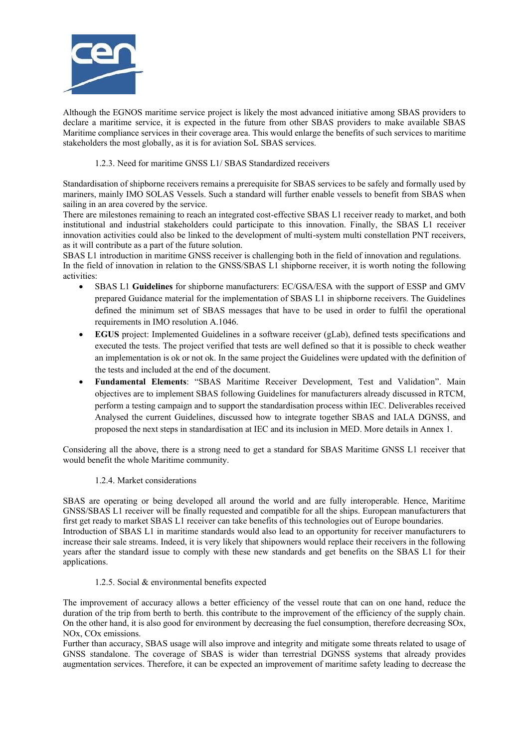

Although the EGNOS maritime service project is likely the most advanced initiative among SBAS providers to declare a maritime service, it is expected in the future from other SBAS providers to make available SBAS Maritime compliance services in their coverage area. This would enlarge the benefits of such services to maritime stakeholders the most globally, as it is for aviation SoL SBAS services.

### 1.2.3. Need for maritime GNSS L1/ SBAS Standardized receivers

Standardisation of shipborne receivers remains a prerequisite for SBAS services to be safely and formally used by mariners, mainly IMO SOLAS Vessels. Such a standard will further enable vessels to benefit from SBAS when sailing in an area covered by the service.

There are milestones remaining to reach an integrated cost-effective SBAS L1 receiver ready to market, and both institutional and industrial stakeholders could participate to this innovation. Finally, the SBAS L1 receiver innovation activities could also be linked to the development of multi-system multi constellation PNT receivers, as it will contribute as a part of the future solution.

SBAS L1 introduction in maritime GNSS receiver is challenging both in the field of innovation and regulations. In the field of innovation in relation to the GNSS/SBAS L1 shipborne receiver, it is worth noting the following activities:

- SBAS L1 **Guidelines** for shipborne manufacturers: EC/GSA/ESA with the support of ESSP and GMV prepared Guidance material for the implementation of SBAS L1 in shipborne receivers. The Guidelines defined the minimum set of SBAS messages that have to be used in order to fulfil the operational requirements in IMO resolution A.1046.
- **EGUS** project: Implemented Guidelines in a software receiver (gLab), defined tests specifications and executed the tests. The project verified that tests are well defined so that it is possible to check weather an implementation is ok or not ok. In the same project the Guidelines were updated with the definition of the tests and included at the end of the document.
- **Fundamental Elements**: "SBAS Maritime Receiver Development, Test and Validation". Main objectives are to implement SBAS following Guidelines for manufacturers already discussed in RTCM, perform a testing campaign and to support the standardisation process within IEC. Deliverables received Analysed the current Guidelines, discussed how to integrate together SBAS and IALA DGNSS, and proposed the next steps in standardisation at IEC and its inclusion in MED. More details in Annex 1.

Considering all the above, there is a strong need to get a standard for SBAS Maritime GNSS L1 receiver that would benefit the whole Maritime community.

### 1.2.4. Market considerations

SBAS are operating or being developed all around the world and are fully interoperable. Hence, Maritime GNSS/SBAS L1 receiver will be finally requested and compatible for all the ships. European manufacturers that first get ready to market SBAS L1 receiver can take benefits of this technologies out of Europe boundaries. Introduction of SBAS L1 in maritime standards would also lead to an opportunity for receiver manufacturers to increase their sale streams. Indeed, it is very likely that shipowners would replace their receivers in the following years after the standard issue to comply with these new standards and get benefits on the SBAS L1 for their applications.

### 1.2.5. Social & environmental benefits expected

The improvement of accuracy allows a better efficiency of the vessel route that can on one hand, reduce the duration of the trip from berth to berth. this contribute to the improvement of the efficiency of the supply chain. On the other hand, it is also good for environment by decreasing the fuel consumption, therefore decreasing SOx, NOx, COx emissions.

Further than accuracy, SBAS usage will also improve and integrity and mitigate some threats related to usage of GNSS standalone. The coverage of SBAS is wider than terrestrial DGNSS systems that already provides augmentation services. Therefore, it can be expected an improvement of maritime safety leading to decrease the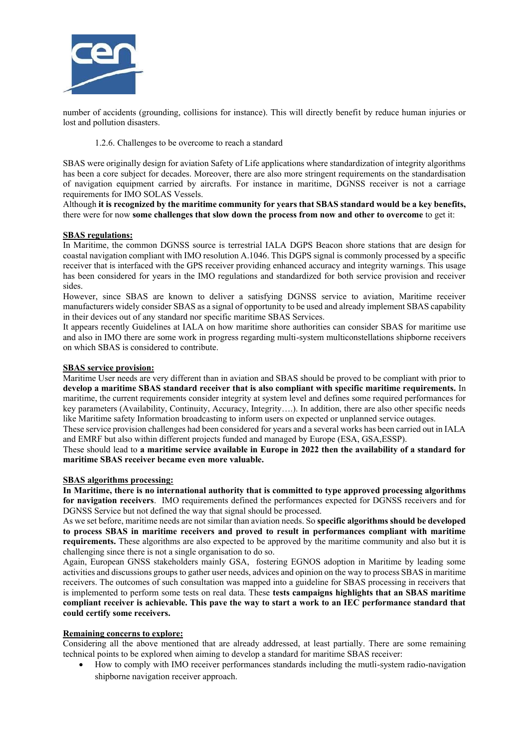

number of accidents (grounding, collisions for instance). This will directly benefit by reduce human injuries or lost and pollution disasters.

1.2.6. Challenges to be overcome to reach a standard

SBAS were originally design for aviation Safety of Life applications where standardization of integrity algorithms has been a core subject for decades. Moreover, there are also more stringent requirements on the standardisation of navigation equipment carried by aircrafts. For instance in maritime, DGNSS receiver is not a carriage requirements for IMO SOLAS Vessels.

Although **it is recognized by the maritime community for years that SBAS standard would be a key benefits,**  there were for now **some challenges that slow down the process from now and other to overcome** to get it:

# **SBAS regulations:**

In Maritime, the common DGNSS source is terrestrial IALA DGPS Beacon shore stations that are design for coastal navigation compliant with IMO resolution A.1046. This DGPS signal is commonly processed by a specific receiver that is interfaced with the GPS receiver providing enhanced accuracy and integrity warnings. This usage has been considered for years in the IMO regulations and standardized for both service provision and receiver sides.

However, since SBAS are known to deliver a satisfying DGNSS service to aviation, Maritime receiver manufacturers widely consider SBAS as a signal of opportunity to be used and already implement SBAS capability in their devices out of any standard nor specific maritime SBAS Services.

It appears recently Guidelines at IALA on how maritime shore authorities can consider SBAS for maritime use and also in IMO there are some work in progress regarding multi-system multiconstellations shipborne receivers on which SBAS is considered to contribute.

#### **SBAS service provision:**

Maritime User needs are very different than in aviation and SBAS should be proved to be compliant with prior to **develop a maritime SBAS standard receiver that is also compliant with specific maritime requirements.** In maritime, the current requirements consider integrity at system level and defines some required performances for key parameters (Availability, Continuity, Accuracy, Integrity….). In addition, there are also other specific needs like Maritime safety Information broadcasting to inform users on expected or unplanned service outages.

These service provision challenges had been considered for years and a several works has been carried out in IALA and EMRF but also within different projects funded and managed by Europe (ESA, GSA,ESSP).

These should lead to **a maritime service available in Europe in 2022 then the availability of a standard for maritime SBAS receiver became even more valuable.**

#### **SBAS algorithms processing:**

**In Maritime, there is no international authority that is committed to type approved processing algorithms for navigation receivers**. IMO requirements defined the performances expected for DGNSS receivers and for DGNSS Service but not defined the way that signal should be processed.

As we set before, maritime needs are not similar than aviation needs. So **specific algorithms should be developed to process SBAS in maritime receivers and proved to result in performances compliant with maritime requirements.** These algorithms are also expected to be approved by the maritime community and also but it is challenging since there is not a single organisation to do so.

Again, European GNSS stakeholders mainly GSA, fostering EGNOS adoption in Maritime by leading some activities and discussions groups to gather user needs, advices and opinion on the way to process SBAS in maritime receivers. The outcomes of such consultation was mapped into a guideline for SBAS processing in receivers that is implemented to perform some tests on real data. These **tests campaigns highlights that an SBAS maritime compliant receiver is achievable. This pave the way to start a work to an IEC performance standard that could certify some receivers.**

### **Remaining concerns to explore:**

Considering all the above mentioned that are already addressed, at least partially. There are some remaining technical points to be explored when aiming to develop a standard for maritime SBAS receiver:

 How to comply with IMO receiver performances standards including the mutli-system radio-navigation shipborne navigation receiver approach.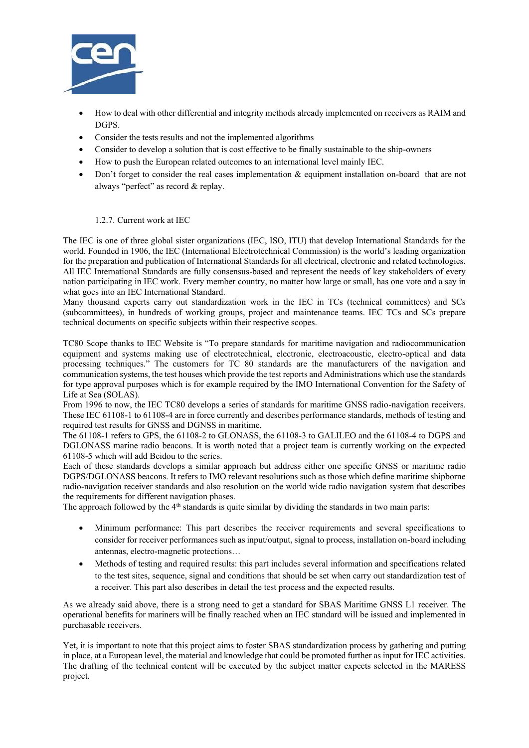

- How to deal with other differential and integrity methods already implemented on receivers as RAIM and DGPS.
- Consider the tests results and not the implemented algorithms
- Consider to develop a solution that is cost effective to be finally sustainable to the ship-owners
- How to push the European related outcomes to an international level mainly IEC.
- Don't forget to consider the real cases implementation & equipment installation on-board that are not always "perfect" as record & replay.

1.2.7. Current work at IEC

The IEC is one of three global sister organizations (IEC, ISO, ITU) that develop International Standards for the world. Founded in 1906, the IEC (International Electrotechnical Commission) is the world's leading organization for the preparation and publication of International Standards for all electrical, electronic and related technologies. All IEC International Standards are fully consensus-based and represent the needs of key stakeholders of every nation participating in IEC work. Every member country, no matter how large or small, has one vote and a say in what goes into an IEC International Standard.

Many thousand experts carry out standardization work in the IEC in TCs (technical committees) and SCs (subcommittees), in hundreds of working groups, project and maintenance teams. IEC TCs and SCs prepare technical documents on specific subjects within their respective scopes.

TC80 Scope thanks to IEC Website is "To prepare standards for maritime navigation and radiocommunication equipment and systems making use of electrotechnical, electronic, electroacoustic, electro-optical and data processing techniques." The customers for TC 80 standards are the manufacturers of the navigation and communication systems, the test houses which provide the test reports and Administrations which use the standards for type approval purposes which is for example required by the IMO International Convention for the Safety of Life at Sea (SOLAS).

From 1996 to now, the IEC TC80 develops a series of standards for maritime GNSS radio-navigation receivers. These IEC 61108-1 to 61108-4 are in force currently and describes performance standards, methods of testing and required test results for GNSS and DGNSS in maritime.

The 61108-1 refers to GPS, the 61108-2 to GLONASS, the 61108-3 to GALILEO and the 61108-4 to DGPS and DGLONASS marine radio beacons. It is worth noted that a project team is currently working on the expected 61108-5 which will add Beidou to the series.

Each of these standards develops a similar approach but address either one specific GNSS or maritime radio DGPS/DGLONASS beacons. It refers to IMO relevant resolutions such as those which define maritime shipborne radio-navigation receiver standards and also resolution on the world wide radio navigation system that describes the requirements for different navigation phases.

The approach followed by the 4<sup>th</sup> standards is quite similar by dividing the standards in two main parts:

- Minimum performance: This part describes the receiver requirements and several specifications to consider for receiver performances such as input/output, signal to process, installation on-board including antennas, electro-magnetic protections…
- Methods of testing and required results: this part includes several information and specifications related to the test sites, sequence, signal and conditions that should be set when carry out standardization test of a receiver. This part also describes in detail the test process and the expected results.

As we already said above, there is a strong need to get a standard for SBAS Maritime GNSS L1 receiver. The operational benefits for mariners will be finally reached when an IEC standard will be issued and implemented in purchasable receivers.

Yet, it is important to note that this project aims to foster SBAS standardization process by gathering and putting in place, at a European level, the material and knowledge that could be promoted further as input for IEC activities. The drafting of the technical content will be executed by the subject matter expects selected in the MARESS project.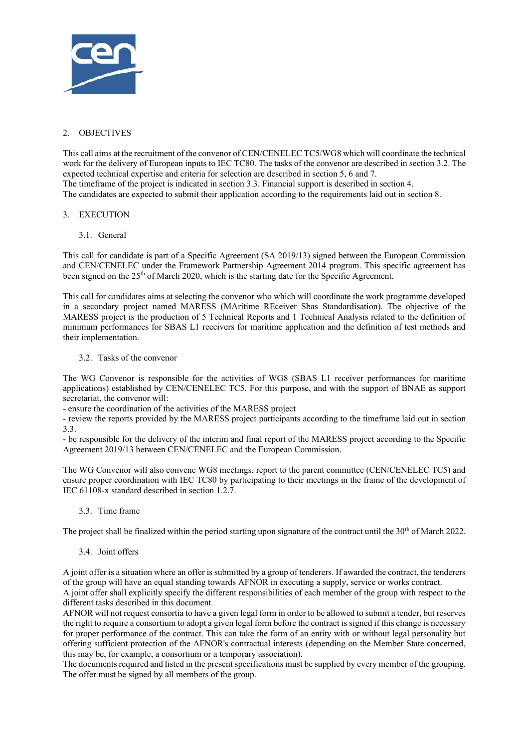

# 2. OBJECTIVES

This call aims at the recruitment of the convenor of CEN/CENELEC TC5/WG8 which will coordinate the technical work for the delivery of European inputs to IEC TC80. The tasks of the convenor are described in section 3.2. The expected technical expertise and criteria for selection are described in section 5, 6 and 7. The timeframe of the project is indicated in section 3.3. Financial support is described in section 4. The candidates are expected to submit their application according to the requirements laid out in section 8.

# 3. EXECUTION

3.1. General

This call for candidate is part of a Specific Agreement (SA 2019/13) signed between the European Commission and CEN/CENELEC under the Framework Partnership Agreement 2014 program. This specific agreement has been signed on the 25<sup>th</sup> of March 2020, which is the starting date for the Specific Agreement.

This call for candidates aims at selecting the convenor who which will coordinate the work programme developed in a secondary project named MARESS (MAritime REceiver Sbas Standardisation). The objective of the MARESS project is the production of 5 Technical Reports and 1 Technical Analysis related to the definition of minimum performances for SBAS L1 receivers for maritime application and the definition of test methods and their implementation.

3.2. Tasks of the convenor

The WG Convenor is responsible for the activities of WG8 (SBAS L1 receiver performances for maritime applications) established by CEN/CENELEC TC5. For this purpose, and with the support of BNAE as support secretariat, the convenor will:

- ensure the coordination of the activities of the MARESS project

- review the reports provided by the MARESS project participants according to the timeframe laid out in section 3.3.

- be responsible for the delivery of the interim and final report of the MARESS project according to the Specific Agreement 2019/13 between CEN/CENELEC and the European Commission.

The WG Convenor will also convene WG8 meetings, report to the parent committee (CEN/CENELEC TC5) and ensure proper coordination with IEC TC80 by participating to their meetings in the frame of the development of IEC 61108-x standard described in section 1.2.7.

3.3. Time frame

The project shall be finalized within the period starting upon signature of the contract until the 30<sup>th</sup> of March 2022.

3.4. Joint offers

A joint offer is a situation where an offer is submitted by a group of tenderers. If awarded the contract, the tenderers of the group will have an equal standing towards AFNOR in executing a supply, service or works contract. A joint offer shall explicitly specify the different responsibilities of each member of the group with respect to the different tasks described in this document.

AFNOR will not request consortia to have a given legal form in order to be allowed to submit a tender, but reserves the right to require a consortium to adopt a given legal form before the contract is signed if this change is necessary for proper performance of the contract. This can take the form of an entity with or without legal personality but offering sufficient protection of the AFNOR's contractual interests (depending on the Member State concerned, this may be, for example, a consortium or a temporary association).

The documents required and listed in the present specifications must be supplied by every member of the grouping. The offer must be signed by all members of the group.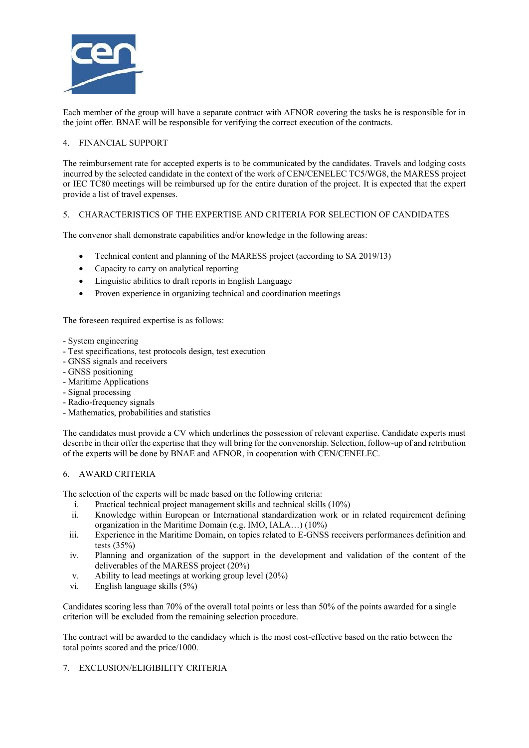

Each member of the group will have a separate contract with AFNOR covering the tasks he is responsible for in the joint offer. BNAE will be responsible for verifying the correct execution of the contracts.

# 4. FINANCIAL SUPPORT

The reimbursement rate for accepted experts is to be communicated by the candidates. Travels and lodging costs incurred by the selected candidate in the context of the work of CEN/CENELEC TC5/WG8, the MARESS project or IEC TC80 meetings will be reimbursed up for the entire duration of the project. It is expected that the expert provide a list of travel expenses.

### 5. CHARACTERISTICS OF THE EXPERTISE AND CRITERIA FOR SELECTION OF CANDIDATES

The convenor shall demonstrate capabilities and/or knowledge in the following areas:

- Technical content and planning of the MARESS project (according to SA 2019/13)
- Capacity to carry on analytical reporting
- Linguistic abilities to draft reports in English Language
- Proven experience in organizing technical and coordination meetings

The foreseen required expertise is as follows:

- System engineering
- Test specifications, test protocols design, test execution
- GNSS signals and receivers
- GNSS positioning
- Maritime Applications
- Signal processing
- Radio-frequency signals
- Mathematics, probabilities and statistics

The candidates must provide a CV which underlines the possession of relevant expertise. Candidate experts must describe in their offer the expertise that they will bring for the convenorship. Selection, follow-up of and retribution of the experts will be done by BNAE and AFNOR, in cooperation with CEN/CENELEC.

### 6. AWARD CRITERIA

The selection of the experts will be made based on the following criteria:

- i. Practical technical project management skills and technical skills (10%)
- ii. Knowledge within European or International standardization work or in related requirement defining organization in the Maritime Domain (e.g. IMO, IALA…) (10%)
- iii. Experience in the Maritime Domain, on topics related to E-GNSS receivers performances definition and tests (35%)
- iv. Planning and organization of the support in the development and validation of the content of the deliverables of the MARESS project (20%)
- v. Ability to lead meetings at working group level (20%)
- vi. English language skills (5%)

Candidates scoring less than 70% of the overall total points or less than 50% of the points awarded for a single criterion will be excluded from the remaining selection procedure.

The contract will be awarded to the candidacy which is the most cost-effective based on the ratio between the total points scored and the price/1000.

### 7. EXCLUSION/ELIGIBILITY CRITERIA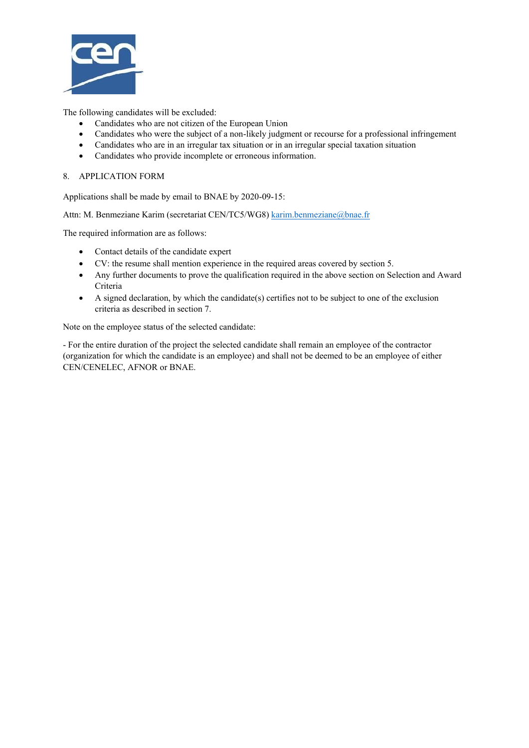

The following candidates will be excluded:

- Candidates who are not citizen of the European Union
- Candidates who were the subject of a non-likely judgment or recourse for a professional infringement
- Candidates who are in an irregular tax situation or in an irregular special taxation situation
- Candidates who provide incomplete or erroneous information.

#### 8. APPLICATION FORM

Applications shall be made by email to BNAE by 2020-09-15:

Attn: M. Benmeziane Karim (secretariat CEN/TC5/WG8) karim.benmeziane@bnae.fr

The required information are as follows:

- Contact details of the candidate expert
- CV: the resume shall mention experience in the required areas covered by section 5.
- Any further documents to prove the qualification required in the above section on Selection and Award Criteria
- A signed declaration, by which the candidate(s) certifies not to be subject to one of the exclusion criteria as described in section 7.

Note on the employee status of the selected candidate:

- For the entire duration of the project the selected candidate shall remain an employee of the contractor (organization for which the candidate is an employee) and shall not be deemed to be an employee of either CEN/CENELEC, AFNOR or BNAE.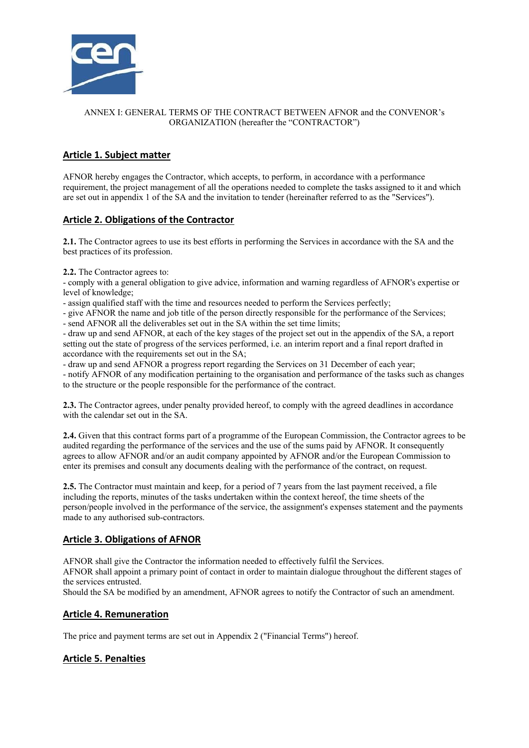

# ANNEX I: GENERAL TERMS OF THE CONTRACT BETWEEN AFNOR and the CONVENOR's ORGANIZATION (hereafter the "CONTRACTOR")

# **Article 1. Subject matter**

AFNOR hereby engages the Contractor, which accepts, to perform, in accordance with a performance requirement, the project management of all the operations needed to complete the tasks assigned to it and which are set out in appendix 1 of the SA and the invitation to tender (hereinafter referred to as the "Services").

# **Article 2. Obligations of the Contractor**

**2.1.** The Contractor agrees to use its best efforts in performing the Services in accordance with the SA and the best practices of its profession.

**2.2.** The Contractor agrees to:

- comply with a general obligation to give advice, information and warning regardless of AFNOR's expertise or level of knowledge;

- assign qualified staff with the time and resources needed to perform the Services perfectly;

- give AFNOR the name and job title of the person directly responsible for the performance of the Services;

- send AFNOR all the deliverables set out in the SA within the set time limits;

- draw up and send AFNOR, at each of the key stages of the project set out in the appendix of the SA, a report setting out the state of progress of the services performed, i.e. an interim report and a final report drafted in accordance with the requirements set out in the SA;

- draw up and send AFNOR a progress report regarding the Services on 31 December of each year;

- notify AFNOR of any modification pertaining to the organisation and performance of the tasks such as changes to the structure or the people responsible for the performance of the contract.

**2.3.** The Contractor agrees, under penalty provided hereof, to comply with the agreed deadlines in accordance with the calendar set out in the SA.

**2.4.** Given that this contract forms part of a programme of the European Commission, the Contractor agrees to be audited regarding the performance of the services and the use of the sums paid by AFNOR. It consequently agrees to allow AFNOR and/or an audit company appointed by AFNOR and/or the European Commission to enter its premises and consult any documents dealing with the performance of the contract, on request.

**2.5.** The Contractor must maintain and keep, for a period of 7 years from the last payment received, a file including the reports, minutes of the tasks undertaken within the context hereof, the time sheets of the person/people involved in the performance of the service, the assignment's expenses statement and the payments made to any authorised sub-contractors.

# **Article 3. Obligations of AFNOR**

AFNOR shall give the Contractor the information needed to effectively fulfil the Services.

AFNOR shall appoint a primary point of contact in order to maintain dialogue throughout the different stages of the services entrusted.

Should the SA be modified by an amendment, AFNOR agrees to notify the Contractor of such an amendment.

# **Article 4. Remuneration**

The price and payment terms are set out in Appendix 2 ("Financial Terms") hereof.

# **Article 5. Penalties**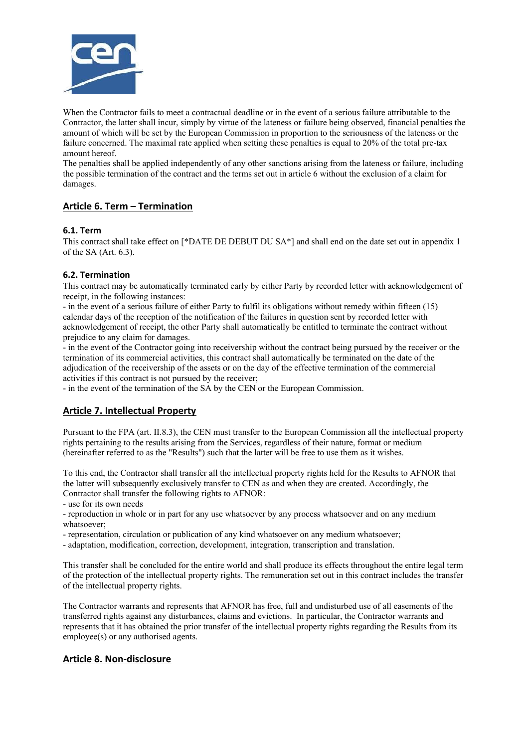

When the Contractor fails to meet a contractual deadline or in the event of a serious failure attributable to the Contractor, the latter shall incur, simply by virtue of the lateness or failure being observed, financial penalties the amount of which will be set by the European Commission in proportion to the seriousness of the lateness or the failure concerned. The maximal rate applied when setting these penalties is equal to 20% of the total pre-tax amount hereof.

The penalties shall be applied independently of any other sanctions arising from the lateness or failure, including the possible termination of the contract and the terms set out in article 6 without the exclusion of a claim for damages.

# **Article 6. Term – Termination**

### **6.1. Term**

This contract shall take effect on [\*DATE DE DEBUT DU SA\*] and shall end on the date set out in appendix 1 of the SA (Art. 6.3).

### **6.2. Termination**

This contract may be automatically terminated early by either Party by recorded letter with acknowledgement of receipt, in the following instances:

- in the event of a serious failure of either Party to fulfil its obligations without remedy within fifteen (15) calendar days of the reception of the notification of the failures in question sent by recorded letter with acknowledgement of receipt, the other Party shall automatically be entitled to terminate the contract without prejudice to any claim for damages.

- in the event of the Contractor going into receivership without the contract being pursued by the receiver or the termination of its commercial activities, this contract shall automatically be terminated on the date of the adjudication of the receivership of the assets or on the day of the effective termination of the commercial activities if this contract is not pursued by the receiver;

- in the event of the termination of the SA by the CEN or the European Commission.

# **Article 7. Intellectual Property**

Pursuant to the FPA (art. II.8.3), the CEN must transfer to the European Commission all the intellectual property rights pertaining to the results arising from the Services, regardless of their nature, format or medium (hereinafter referred to as the "Results") such that the latter will be free to use them as it wishes.

To this end, the Contractor shall transfer all the intellectual property rights held for the Results to AFNOR that the latter will subsequently exclusively transfer to CEN as and when they are created. Accordingly, the Contractor shall transfer the following rights to AFNOR:

- use for its own needs

- reproduction in whole or in part for any use whatsoever by any process whatsoever and on any medium whatsoever;

- representation, circulation or publication of any kind whatsoever on any medium whatsoever;

- adaptation, modification, correction, development, integration, transcription and translation.

This transfer shall be concluded for the entire world and shall produce its effects throughout the entire legal term of the protection of the intellectual property rights. The remuneration set out in this contract includes the transfer of the intellectual property rights.

The Contractor warrants and represents that AFNOR has free, full and undisturbed use of all easements of the transferred rights against any disturbances, claims and evictions. In particular, the Contractor warrants and represents that it has obtained the prior transfer of the intellectual property rights regarding the Results from its employee(s) or any authorised agents.

# **Article 8. Non-disclosure**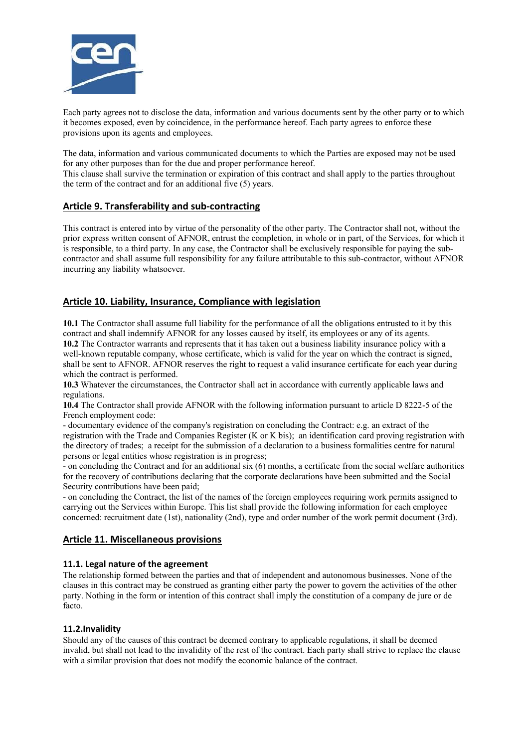

Each party agrees not to disclose the data, information and various documents sent by the other party or to which it becomes exposed, even by coincidence, in the performance hereof. Each party agrees to enforce these provisions upon its agents and employees.

The data, information and various communicated documents to which the Parties are exposed may not be used for any other purposes than for the due and proper performance hereof.

This clause shall survive the termination or expiration of this contract and shall apply to the parties throughout the term of the contract and for an additional five (5) years.

# **Article 9. Transferability and sub-contracting**

This contract is entered into by virtue of the personality of the other party. The Contractor shall not, without the prior express written consent of AFNOR, entrust the completion, in whole or in part, of the Services, for which it is responsible, to a third party. In any case, the Contractor shall be exclusively responsible for paying the subcontractor and shall assume full responsibility for any failure attributable to this sub-contractor, without AFNOR incurring any liability whatsoever.

# **Article 10. Liability, Insurance, Compliance with legislation**

**10.1** The Contractor shall assume full liability for the performance of all the obligations entrusted to it by this contract and shall indemnify AFNOR for any losses caused by itself, its employees or any of its agents. **10.2** The Contractor warrants and represents that it has taken out a business liability insurance policy with a well-known reputable company, whose certificate, which is valid for the year on which the contract is signed, shall be sent to AFNOR. AFNOR reserves the right to request a valid insurance certificate for each year during which the contract is performed.

**10.3** Whatever the circumstances, the Contractor shall act in accordance with currently applicable laws and regulations.

**10.4** The Contractor shall provide AFNOR with the following information pursuant to article D 8222-5 of the French employment code:

- documentary evidence of the company's registration on concluding the Contract: e.g. an extract of the registration with the Trade and Companies Register (K or K bis); an identification card proving registration with the directory of trades; a receipt for the submission of a declaration to a business formalities centre for natural persons or legal entities whose registration is in progress;

- on concluding the Contract and for an additional six (6) months, a certificate from the social welfare authorities for the recovery of contributions declaring that the corporate declarations have been submitted and the Social Security contributions have been paid;

- on concluding the Contract, the list of the names of the foreign employees requiring work permits assigned to carrying out the Services within Europe. This list shall provide the following information for each employee concerned: recruitment date (1st), nationality (2nd), type and order number of the work permit document (3rd).

# **Article 11. Miscellaneous provisions**

### **11.1. Legal nature of the agreement**

The relationship formed between the parties and that of independent and autonomous businesses. None of the clauses in this contract may be construed as granting either party the power to govern the activities of the other party. Nothing in the form or intention of this contract shall imply the constitution of a company de jure or de facto.

# **11.2.Invalidity**

Should any of the causes of this contract be deemed contrary to applicable regulations, it shall be deemed invalid, but shall not lead to the invalidity of the rest of the contract. Each party shall strive to replace the clause with a similar provision that does not modify the economic balance of the contract.